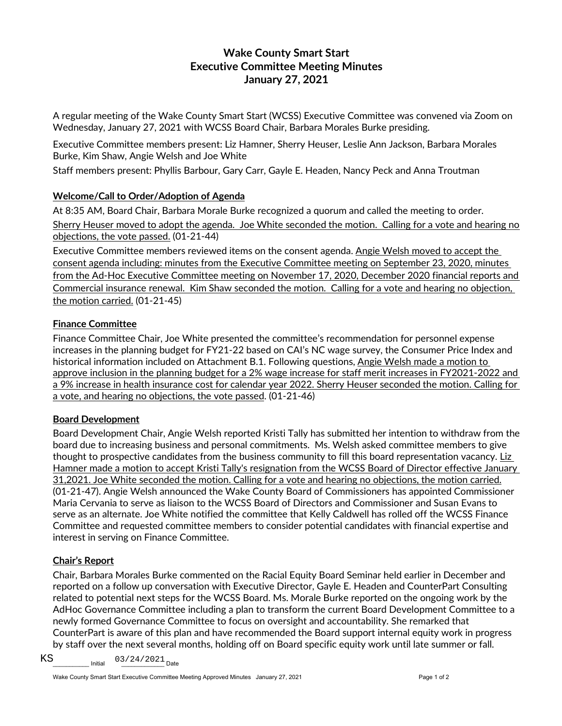# **Wake County Smart Start Executive Committee Meeting Minutes January 27, 2021**

A regular meeting of the Wake County Smart Start (WCSS) Executive Committee was convened via Zoom on Wednesday, January 27, 2021 with WCSS Board Chair, Barbara Morales Burke presiding.

Executive Committee members present: Liz Hamner, Sherry Heuser, Leslie Ann Jackson, Barbara Morales Burke, Kim Shaw, Angie Welsh and Joe White

Staff members present: Phyllis Barbour, Gary Carr, Gayle E. Headen, Nancy Peck and Anna Troutman

### **Welcome/Call to Order/Adoption of Agenda**

At 8:35 AM, Board Chair, Barbara Morale Burke recognized a quorum and called the meeting to order.

Sherry Heuser moved to adopt the agenda. Joe White seconded the motion. Calling for a vote and hearing no objections, the vote passed. (01-21-44)

Executive Committee members reviewed items on the consent agenda. Angie Welsh moved to accept the consent agenda including: minutes from the Executive Committee meeting on September 23, 2020, minutes from the Ad-Hoc Executive Committee meeting on November 17, 2020, December 2020 financial reports and Commercial insurance renewal. Kim Shaw seconded the motion. Calling for a vote and hearing no objection, the motion carried. (01-21-45)

#### **Finance Committee**

Finance Committee Chair, Joe White presented the committee's recommendation for personnel expense increases in the planning budget for FY21-22 based on CAI's NC wage survey, the Consumer Price Index and historical information included on Attachment B.1. Following questions, Angie Welsh made a motion to approve inclusion in the planning budget for a 2% wage increase for staff merit increases in FY2021-2022 and a 9% increase in health insurance cost for calendar year 2022. Sherry Heuser seconded the motion. Calling for a vote, and hearing no objections, the vote passed. (01-21-46)

#### **Board Development**

Board Development Chair, Angie Welsh reported Kristi Tally has submitted her intention to withdraw from the board due to increasing business and personal commitments. Ms. Welsh asked committee members to give thought to prospective candidates from the business community to fill this board representation vacancy. Liz Hamner made a motion to accept Kristi Tally's resignation from the WCSS Board of Director effective January 31,2021. Joe White seconded the motion. Calling for a vote and hearing no objections, the motion carried. (01-21-47). Angie Welsh announced the Wake County Board of Commissioners has appointed Commissioner Maria Cervania to serve as liaison to the WCSS Board of Directors and Commissioner and Susan Evans to serve as an alternate. Joe White notified the committee that Kelly Caldwell has rolled off the WCSS Finance Committee and requested committee members to consider potential candidates with financial expertise and interest in serving on Finance Committee.

## **Chair's Report**

Chair, Barbara Morales Burke commented on the Racial Equity Board Seminar held earlier in December and reported on a follow up conversation with Executive Director, Gayle E. Headen and CounterPart Consulting related to potential next steps for the WCSS Board. Ms. Morale Burke reported on the ongoing work by the AdHoc Governance Committee including a plan to transform the current Board Development Committee to a newly formed Governance Committee to focus on oversight and accountability. She remarked that CounterPart is aware of this plan and have recommended the Board support internal equity work in progress by staff over the next several months, holding off on Board specific equity work until late summer or fall.